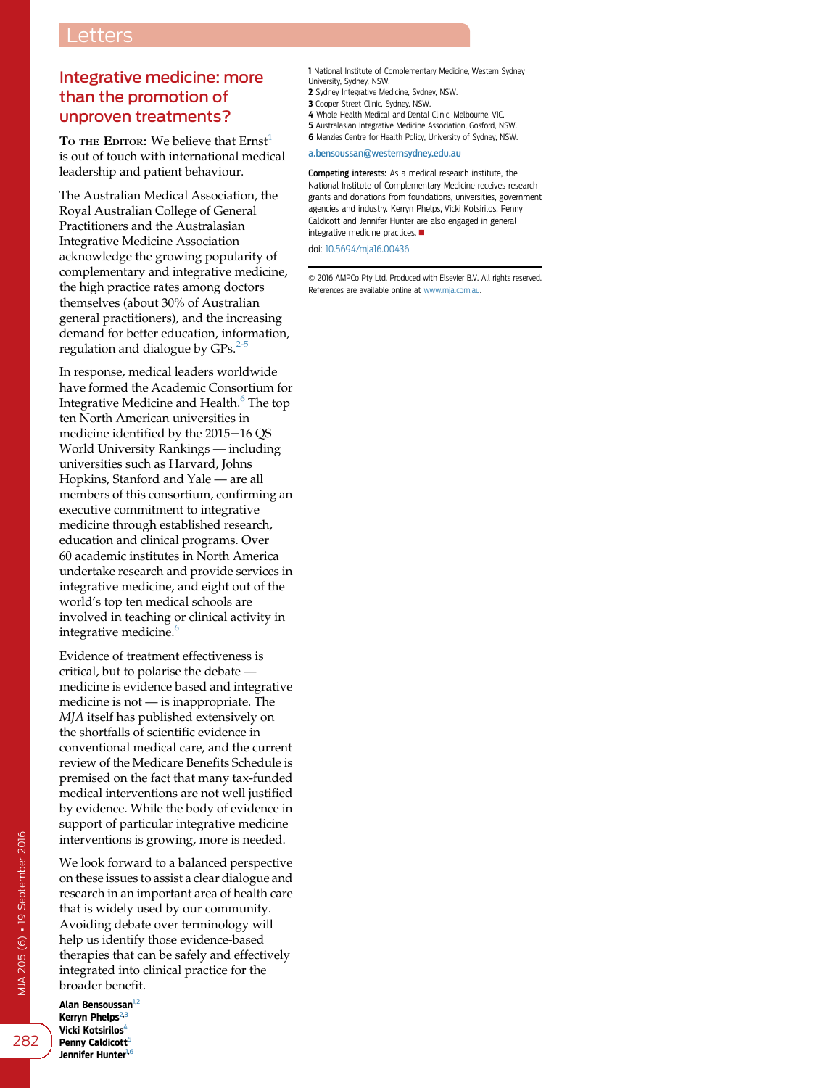## Integrative medicine: more than the promotion of unproven treatments?

To THE EDITOR: We believe that  $Ernst<sup>1</sup>$  $Ernst<sup>1</sup>$  $Ernst<sup>1</sup>$ is out of touch with international medical leadership and patient behaviour.

The Australian Medical Association, the Royal Australian College of General Practitioners and the Australasian Integrative Medicine Association acknowledge the growing popularity of complementary and integrative medicine, the high practice rates among doctors themselves (about 30% of Australian general practitioners), and the increasing demand for better education, information, regulation and dialogue by  $GPs.<sup>2-5</sup>$  $GPs.<sup>2-5</sup>$  $GPs.<sup>2-5</sup>$ 

In response, medical leaders worldwide have formed the Academic Consortium for Integrative Medicine and Health.<sup>[6](#page-1-0)</sup> The top ten North American universities in medicine identified by the 2015-16 QS World University Rankings — including universities such as Harvard, Johns Hopkins, Stanford and Yale — are all members of this consortium, confirming an executive commitment to integrative medicine through established research, education and clinical programs. Over 60 academic institutes in North America undertake research and provide services in integrative medicine, and eight out of the world's top ten medical schools are involved in teaching or clinical activity in integrative medicine.<sup>[6](#page-1-0)</sup>

Evidence of treatment effectiveness is critical, but to polarise the debate medicine is evidence based and integrative medicine is not — is inappropriate. The MJA itself has published extensively on the shortfalls of scientific evidence in conventional medical care, and the current review of the Medicare Benefits Schedule is premised on the fact that many tax-funded medical interventions are not well justified by evidence. While the body of evidence in support of particular integrative medicine interventions is growing, more is needed.

We look forward to a balanced perspective on these issues to assist a clear dialogue and research in an important area of health care that is widely used by our community. Avoiding debate over terminology will help us identify those evidence-based therapies that can be safely and effectively integrated into clinical practice for the broader benefit.

Alan Bensoussan<sup>1,2</sup> Kerryn Phelps $^{2,3}$ Vicki Kotsirilos<sup>4</sup> Penny Caldicott<sup>5</sup> Jennifer Hunter<sup>1,6</sup>

1 National Institute of Complementary Medicine, Western Sydney University, Sydney, NSW.

- 2 Sydney Integrative Medicine, Sydney, NSW.
- 3 Cooper Street Clinic, Sydney, NSW.
- 4 Whole Health Medical and Dental Clinic, Melbourne, VIC.
- 5 Australasian Integrative Medicine Association, Gosford, NSW.
- 6 Menzies Centre for Health Policy, University of Sydney, NSW.

## [a.bensoussan@westernsydney.edu.au](mailto:a.bensoussan@westernsydney.edu.au)

Competing interests: As a medical research institute, the National Institute of Complementary Medicine receives research grants and donations from foundations, universities, government agencies and industry. Kerryn Phelps, Vicki Kotsirilos, Penny Caldicott and Jennifer Hunter are also engaged in general integrative medicine practices.  $\blacksquare$ 

doi: [10.5694/mja16.00436](http://dx.doi.org/10.5694/mja16.00436)

ª 2016 AMPCo Pty Ltd. Produced with Elsevier B.V. All rights reserved. References are available online at [www.mja.com.au.](http://www.mja.com.au)

282